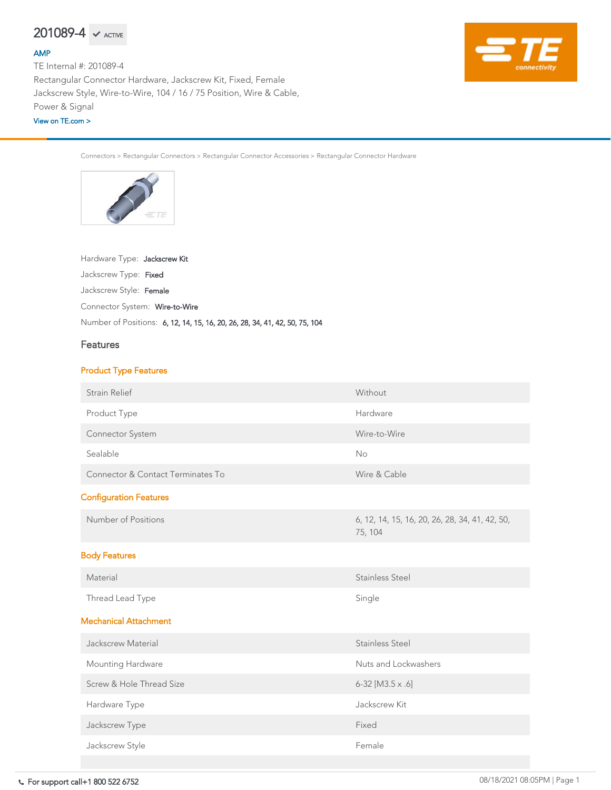For support call+1 800 522 6752 08/18/2021 08:05PM | Page 1  $\overline{C}$  Connection  $\overline{C}$ 

Connectors > Rectangular Connectors > Rectangular Connector Accessories > Rectangular Connector Hardware



#### Hardware Type: Jackscrew Kit

Jackscrew Type: Fixed

Jackscrew Style: Female

Number of Positions: 6, 12, 14, 15, 16, 20, 26, 28, 34, 41, 42, 50, 75, 104

Connector System: Wire-to-Wire

### Features

#### Product Type Features

| <b>Strain Relief</b>    | Without      |
|-------------------------|--------------|
| Product Type            | Hardware     |
| <b>Connector System</b> | Wire-to-Wire |

| Sealable                                     | <b>No</b>                                                 |
|----------------------------------------------|-----------------------------------------------------------|
| <b>Connector &amp; Contact Terminates To</b> | Wire & Cable                                              |
| <b>Configuration Features</b>                |                                                           |
| Number of Positions                          | 6, 12, 14, 15, 16, 20, 26, 28, 34, 41, 42, 50,<br>75, 104 |
| <b>Body Features</b>                         |                                                           |
| Material                                     | <b>Stainless Steel</b>                                    |
| Thread Lead Type                             | Single                                                    |
| <b>Mechanical Attachment</b>                 |                                                           |
| <b>Jackscrew Material</b>                    | <b>Stainless Steel</b>                                    |
| <b>Mounting Hardware</b>                     | Nuts and Lockwashers                                      |
| Screw & Hole Thread Size                     | $6-32$ [M3.5 x .6]                                        |
| Hardware Type                                | Jackscrew Kit                                             |
| Jackscrew Type                               | Fixed                                                     |
| Jackscrew Style                              | Female                                                    |
|                                              |                                                           |

# $201089-4$   $\checkmark$  active

#### [AMP](https://www.te.com/usa-en/plp/Zn60.html)

TE Internal #: 201089-4 Rectangular Connector Hardware, Jackscrew Kit, Fixed, Female Jackscrew Style, Wire-to-Wire, 104 / 16 / 75 Position, Wire & Cable, Power & Signal

#### [View on TE.com >](https://www.te.com/usa-en/product-201089-4.html)

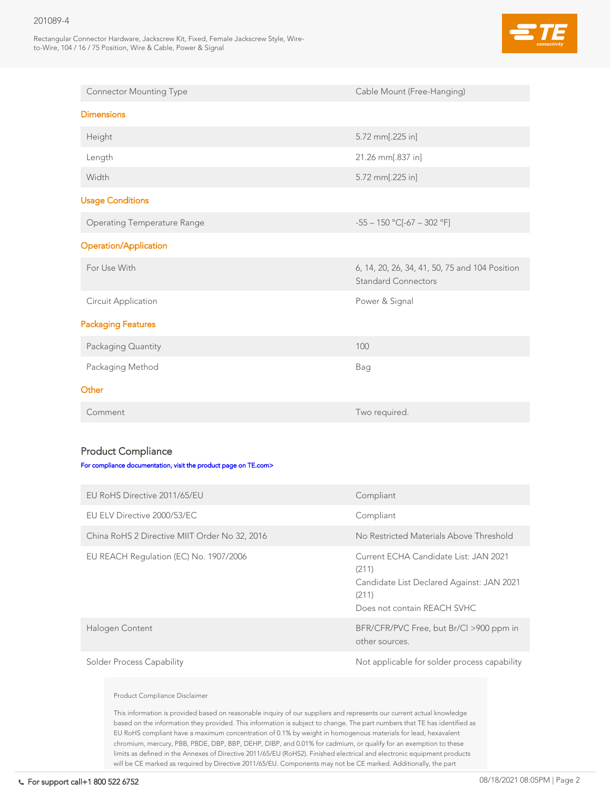#### 201089-4

Rectangular Connector Hardware, Jackscrew Kit, Fixed, Female Jackscrew Style, Wireto-Wire, 104 / 16 / 75 Position, Wire & Cable, Power & Signal



| <b>Connector Mounting Type</b>     | Cable Mount (Free-Hanging)                                                   |
|------------------------------------|------------------------------------------------------------------------------|
| <b>Dimensions</b>                  |                                                                              |
| Height                             | 5.72 mm[.225 in]                                                             |
| Length                             | 21.26 mm[.837 in]                                                            |
| Width                              | 5.72 mm[.225 in]                                                             |
| <b>Usage Conditions</b>            |                                                                              |
| <b>Operating Temperature Range</b> | $-55 - 150$ °C[ $-67 - 302$ °F]                                              |
| <b>Operation/Application</b>       |                                                                              |
| For Use With                       | 6, 14, 20, 26, 34, 41, 50, 75 and 104 Position<br><b>Standard Connectors</b> |
| <b>Circuit Application</b>         | Power & Signal                                                               |
| <b>Packaging Features</b>          |                                                                              |
| Packaging Quantity                 | 100                                                                          |
| Packaging Method                   | Bag                                                                          |
| Other                              |                                                                              |
| Comment                            | Two required.                                                                |

## Product Compliance

#### [For compliance documentation, visit the product page on TE.com>](https://www.te.com/usa-en/product-201089-4.html)

| EU RoHS Directive 2011/65/EU                  | Compliant                                                                                                                           |
|-----------------------------------------------|-------------------------------------------------------------------------------------------------------------------------------------|
| EU ELV Directive 2000/53/EC                   | Compliant                                                                                                                           |
| China RoHS 2 Directive MIIT Order No 32, 2016 | No Restricted Materials Above Threshold                                                                                             |
| EU REACH Regulation (EC) No. 1907/2006        | Current ECHA Candidate List: JAN 2021<br>(211)<br>Candidate List Declared Against: JAN 2021<br>(211)<br>Does not contain REACH SVHC |
| Halogen Content                               | BFR/CFR/PVC Free, but Br/Cl >900 ppm in<br>other sources.                                                                           |
| <b>Solder Process Capability</b>              | Not applicable for solder process capability                                                                                        |

#### Product Compliance Disclaimer

This information is provided based on reasonable inquiry of our suppliers and represents our current actual knowledge based on the information they provided. This information is subject to change. The part numbers that TE has identified as EU RoHS compliant have a maximum concentration of 0.1% by weight in homogenous materials for lead, hexavalent chromium, mercury, PBB, PBDE, DBP, BBP, DEHP, DIBP, and 0.01% for cadmium, or qualify for an exemption to these limits as defined in the Annexes of Directive 2011/65/EU (RoHS2). Finished electrical and electronic equipment products will be CE marked as required by Directive 2011/65/EU. Components may not be CE marked. Additionally, the part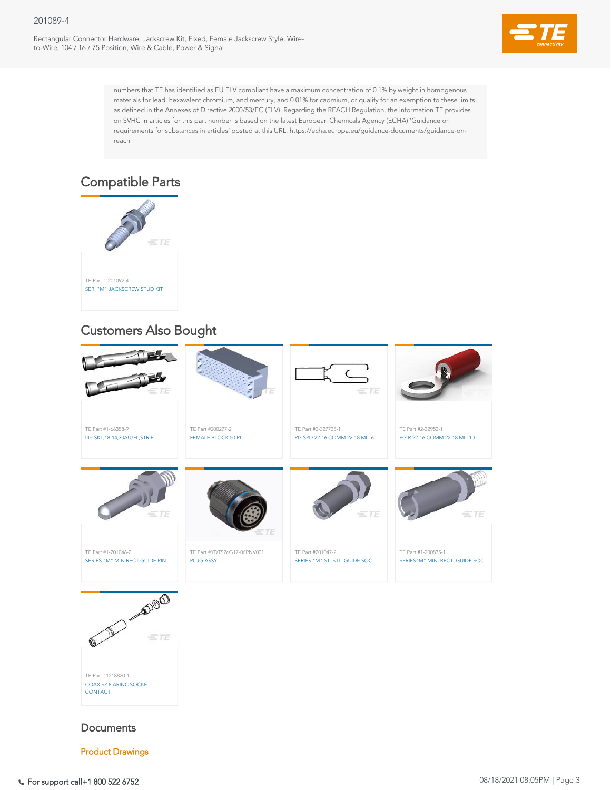#### 201089-4

Rectangular Connector Hardware, Jackscrew Kit, Fixed, Female Jackscrew Style, Wireto-Wire, 104 / 16 / 75 Position, Wire & Cable, Power & Signal



numbers that TE has identified as EU ELV compliant have a maximum concentration of 0.1% by weight in homogenous materials for lead, hexavalent chromium, and mercury, and 0.01% for cadmium, or qualify for an exemption to these limits as defined in the Annexes of Directive 2000/53/EC (ELV). Regarding the REACH Regulation, the information TE provides on SVHC in articles for this part number is based on the latest European Chemicals Agency (ECHA) 'Guidance on requirements for substances in articles' posted at this URL: https://echa.europa.eu/guidance-documents/guidance-onreach

For support call+1 800 522 6752 08/18/2021 08:05PM | Page 3 SERIES"M" JACKSCREW SOCKET ASS



### **Documents**







## Compatible Parts

## Customers Also Bought

Product Drawings